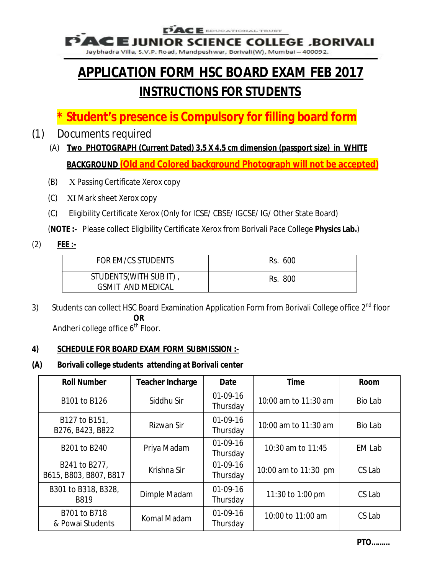E EDUCATIONAL TRUST

**E JUNIOR SCIENCE COLLEGE ,BORIVALI** 

Jaybhadra Villa, S.V.P. Road, Mandpeshwar, Borivali(W), Mumbai - 400092.

# **APPLICATION FORM HSC BOARD EXAM FEB 2017 INSTRUCTIONS FOR STUDENTS**

- **\* Student's presence is Compulsory for filling board form**
- (1) Documents required
	- (A) **Two PHOTOGRAPH (Current Dated) 3.5 X 4.5 cm dimension (passport size) in WHITE BACKGROUND (Old and Colored background Photograph will not be accepted)**
	- (B) X Passing Certificate Xerox copy
	- (C) XI Mark sheet Xerox copy
	- (C) Eligibility Certificate Xerox (Only for ICSE/ CBSE/ IGCSE/ IG/ Other State Board)

(**NOTE :-** Please collect Eligibility Certificate Xerox from Borivali Pace College **Physics Lab.**)

(2) **FEE :-**

| FOR EM/CS STUDENTS                                 | Rs. 600 |
|----------------------------------------------------|---------|
| STUDENTS(WITH SUB IT),<br><b>GSMIT AND MEDICAL</b> | Rs. 800 |

3) Students can collect HSC Board Examination Application Form from Borivali College office 2<sup>nd</sup> floor **OR** 

Andheri college office 6<sup>th</sup> Floor.

#### **4) SCHEDULE FOR BOARD EXAM FORM SUBMISSION :-**

#### **(A) Borivali college students attending at Borivali center**

| <b>Roll Number</b>                      | <b>Teacher Incharge</b> | <b>Date</b>            | <b>Time</b>          | <b>Room</b>   |
|-----------------------------------------|-------------------------|------------------------|----------------------|---------------|
| B101 to B126                            | Siddhu Sir              | $01-09-16$<br>Thursday | 10:00 am to 11:30 am | Bio Lab       |
| B127 to B151,<br>B276, B423, B822       | Rizwan Sir              | $01-09-16$<br>Thursday | 10:00 am to 11:30 am | Bio Lab       |
| B201 to B240                            | Priya Madam             | $01-09-16$<br>Thursday | 10:30 am to 11:45    | <b>EM Lab</b> |
| B241 to B277,<br>B615, B803, B807, B817 | Krishna Sir             | $01-09-16$<br>Thursday | 10:00 am to 11:30 pm | CS Lab        |
| B301 to B318, B328,<br>B819             | Dimple Madam            | $01-09-16$<br>Thursday | 11:30 to 1:00 pm     | CS Lab        |
| B701 to B718<br>& Powai Students        | Komal Madam             | $01-09-16$<br>Thursday | 10:00 to 11:00 am    | CS Lab        |